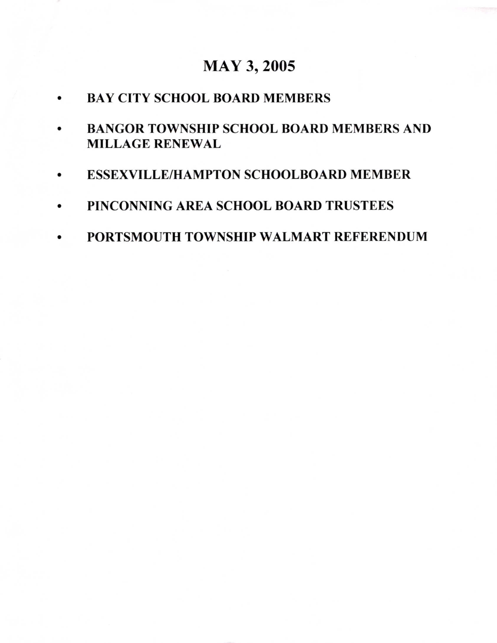## **MAY 3, 2005**

- **BAY CITY SCHOOL BOARD MEMBERS**
- **BANGOR TOWNSHIP SCHOOL BOARD MEMBERS AND**  $\bullet$ **MILLAGE RENEWAL**
- **ESSEXVILLE/HAMPTON SCHOOLBOARD MEMBER**
- PINCONNING AREA SCHOOL BOARD TRUSTEES  $\bullet$
- PORTSMOUTH TOWNSHIP WALMART REFERENDUM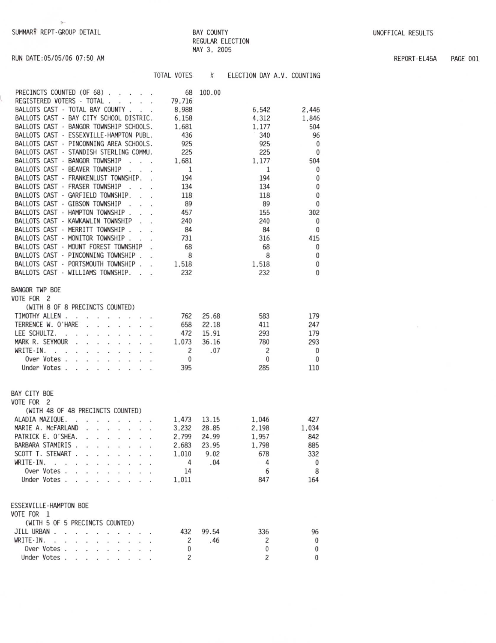RUN DATE: 05/05/06 07:50 AM

## **BAY COUNTY** REGULAR ELECTION MAY 3, 2005

REPORT-EL45A PAGE 001

|                                                                                                                                                                                                                                                       | TOTAL VOTES        | $\boldsymbol{\mathcal{E}}$ | ELECTION DAY A.V. COUNTING |              |
|-------------------------------------------------------------------------------------------------------------------------------------------------------------------------------------------------------------------------------------------------------|--------------------|----------------------------|----------------------------|--------------|
| PRECINCTS COUNTED (OF 68)                                                                                                                                                                                                                             | 68                 | 100.00                     |                            |              |
| REGISTERED VOTERS - TOTAL 79,716                                                                                                                                                                                                                      |                    |                            |                            |              |
| BALLOTS CAST - TOTAL BAY COUNTY                                                                                                                                                                                                                       | 8,988              |                            | 6.542                      | 2.446        |
|                                                                                                                                                                                                                                                       |                    |                            |                            |              |
| BALLOTS CAST - BAY CITY SCHOOL DISTRIC.                                                                                                                                                                                                               | 6.158              |                            | 4,312                      | 1.846        |
| BALLOTS CAST - BANGOR TOWNSHIP SCHOOLS.                                                                                                                                                                                                               | 1,681              |                            | 1.177                      | 504          |
| BALLOTS CAST - ESSEXVILLE-HAMPTON PUBL.                                                                                                                                                                                                               | 436                |                            | 340                        | 96           |
| BALLOTS CAST - PINCONNING AREA SCHOOLS.                                                                                                                                                                                                               | 925                |                            | 925                        | 0            |
| BALLOTS CAST - STANDISH STERLING COMMU.                                                                                                                                                                                                               | 225                |                            | 225                        | $\mathbf{0}$ |
| BALLOTS CAST - BANGOR TOWNSHIP                                                                                                                                                                                                                        | 1,681              |                            | 1,177                      | 504          |
| BALLOTS CAST - BEAVER TOWNSHIP                                                                                                                                                                                                                        | $\overline{1}$     |                            | 1                          | 0            |
| BALLOTS CAST - FRANKENLUST TOWNSHIP.                                                                                                                                                                                                                  | 194                |                            | 194                        | 0            |
| BALLOTS CAST - FRASER TOWNSHIP<br>$\sim$ $\sim$ $\sim$                                                                                                                                                                                                | 134                |                            | 134                        | 0            |
| BALLOTS CAST - GARFIELD TOWNSHIP.                                                                                                                                                                                                                     | 118                |                            | 118                        | $\mathbf{0}$ |
| BALLOTS CAST - GIBSON TOWNSHIP                                                                                                                                                                                                                        | 89                 |                            | 89                         | 0            |
| BALLOTS CAST - HAMPTON TOWNSHIP                                                                                                                                                                                                                       | 457                |                            | 155                        | 302          |
| BALLOTS CAST - KAWKAWLIN TOWNSHIP<br>$\sim$                                                                                                                                                                                                           | 240                |                            | 240                        | $\mathbf{0}$ |
| BALLOTS CAST - MERRITT TOWNSHIP                                                                                                                                                                                                                       | 84                 |                            | 84                         | 0            |
| BALLOTS CAST - MONITOR TOWNSHIP .                                                                                                                                                                                                                     | 731                |                            | 316                        | 415          |
| BALLOTS CAST - MOUNT FOREST TOWNSHIP                                                                                                                                                                                                                  | 68                 |                            | 68                         | 0            |
| BALLOTS CAST - PINCONNING TOWNSHIP                                                                                                                                                                                                                    | 8                  |                            | 8                          | 0            |
| BALLOTS CAST - PORTSMOUTH TOWNSHIP                                                                                                                                                                                                                    | 1,518              |                            | 1,518                      | $\bf{0}$     |
| BALLOTS CAST - WILLIAMS TOWNSHIP.                                                                                                                                                                                                                     | 232                |                            | 232                        | 0            |
|                                                                                                                                                                                                                                                       |                    |                            |                            |              |
| <b>BANGOR TWP BOE</b>                                                                                                                                                                                                                                 |                    |                            |                            |              |
| VOTE FOR 2                                                                                                                                                                                                                                            |                    |                            |                            |              |
| (WITH 8 OF 8 PRECINCTS COUNTED)                                                                                                                                                                                                                       |                    |                            |                            |              |
| TIMOTHY ALLEN<br>and the contract of the contract of                                                                                                                                                                                                  | 762                | 25.68                      | 583                        | 179          |
| TERRENCE W. O'HARE                                                                                                                                                                                                                                    | 658                | 22.18                      | 411                        | 247          |
| LEE SCHULTZ.<br><b>Contract Contract</b>                                                                                                                                                                                                              | 472                | 15.91                      | 293                        | 179          |
| MARK R. SEYMOUR.<br>$\mathbf{r}$ . The set of the set of the set of the set of the set of the set of the set of the set of the set of the set of the set of the set of the set of the set of the set of the set of the set of the set of the set of t | 1.073              | 36.16                      | 780                        | 293          |
| WRITE-IN.                                                                                                                                                                                                                                             |                    | .07                        | $\overline{c}$             | $\mathbf{0}$ |
| Over Votes                                                                                                                                                                                                                                            | 2                  |                            | $\mathbf{0}$               | 0            |
| Under Votes                                                                                                                                                                                                                                           | $\mathbf 0$<br>395 |                            | 285                        | 110          |
|                                                                                                                                                                                                                                                       |                    |                            |                            |              |
|                                                                                                                                                                                                                                                       |                    |                            |                            |              |
| BAY CITY BOE                                                                                                                                                                                                                                          |                    |                            |                            |              |
| VOTE FOR 2                                                                                                                                                                                                                                            |                    |                            |                            |              |
| (WITH 48 OF 48 PRECINCTS COUNTED)                                                                                                                                                                                                                     |                    |                            |                            |              |
| ALADIA MAZIQUE.<br>$-2$ , $-2$ , $-2$ , $-2$ , $-2$ , $-2$ , $-2$ , $-2$ , $-2$                                                                                                                                                                       | 1,473              | 13.15                      | 1,046                      | 427          |
| MARIE A. McFARLAND                                                                                                                                                                                                                                    | 3,232              | 28.85                      | 2.198                      | 1.034        |
| PATRICK E. O'SHEA.                                                                                                                                                                                                                                    | 2.799              | 24.99                      | 1.957                      | 842          |
| BARBARA STAMIRIS.                                                                                                                                                                                                                                     | 2,683              | 23.95                      | 1.798                      | 885          |
| SCOTT T. STEWART                                                                                                                                                                                                                                      | 1,010              | 9.02                       | 678                        | 332          |
| WRITE-IN.<br>$\ddot{\phantom{a}}$<br>$\overline{\phantom{a}}$                                                                                                                                                                                         | 4                  | .04                        | 4                          | 0            |
| Over Votes.                                                                                                                                                                                                                                           | 14                 |                            | 6                          | 8            |
| Under Votes.<br>÷.                                                                                                                                                                                                                                    | 1.011              |                            | 847                        | 164          |
|                                                                                                                                                                                                                                                       |                    |                            |                            |              |
|                                                                                                                                                                                                                                                       |                    |                            |                            |              |
| ESSEXVILLE-HAMPTON BOE                                                                                                                                                                                                                                |                    |                            |                            |              |
| VOTE FOR 1<br>(WITH 5 OF 5 PRECINCTS COUNTED)                                                                                                                                                                                                         |                    |                            |                            |              |
| JILL URBAN.                                                                                                                                                                                                                                           | 432                | 99.54                      | 336                        | 96           |
| WRITE-IN.                                                                                                                                                                                                                                             | 2                  | .46                        | $\overline{c}$             | $\bf{0}$     |
| $\cdot$<br>Over Votes.<br><b>Contract Contract Contract</b>                                                                                                                                                                                           | 0                  |                            | 0                          | 0            |
| $\sim$                                                                                                                                                                                                                                                |                    |                            |                            | $\Omega$     |
| Under Votes.<br>the contract of the contract of<br>$\sim$ $\sim$                                                                                                                                                                                      | 2                  |                            | $\overline{c}$             |              |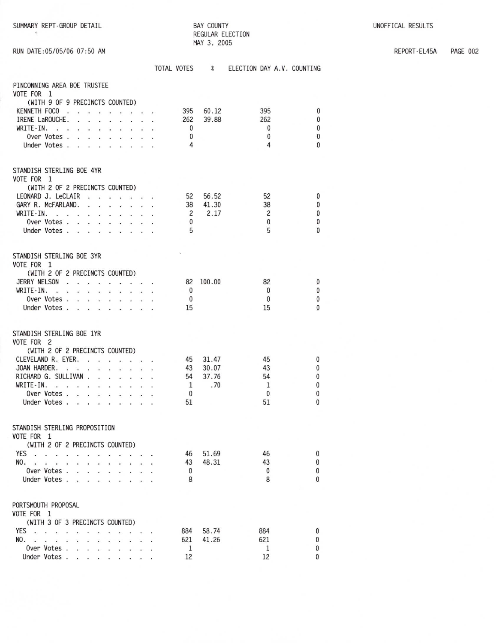SUMMARY REPT-GROUP DETAIL

 $\Phi$ 

**BAY COUNTY** REGULAR ELECTION MAY 3, 2005

REPORT-EL45A PAGE 002

|  |  | RUN DATE:05/05/06 07:50 AM |  |
|--|--|----------------------------|--|
|  |  |                            |  |

|                                                                                                                                                                                                                                                                                                                                                         | TOTAL VOTES %                                        |                                | ELECTION DAY A.V. COUNTING                |                                                           |
|---------------------------------------------------------------------------------------------------------------------------------------------------------------------------------------------------------------------------------------------------------------------------------------------------------------------------------------------------------|------------------------------------------------------|--------------------------------|-------------------------------------------|-----------------------------------------------------------|
| PINCONNING AREA BOE TRUSTEE<br>VOTE FOR 1                                                                                                                                                                                                                                                                                                               |                                                      |                                |                                           |                                                           |
| (WITH 9 OF 9 PRECINCTS COUNTED)<br>KENNETH FOCO<br>IRENE LaROUCHE.<br>WRITE-IN.<br>Over Votes<br>Under Votes                                                                                                                                                                                                                                            | 395<br>262<br>$\mathbf 0$<br>0<br>4                  | 60.12<br>39.88                 | 395<br>262<br>$\bf{0}$<br>0<br>4          | $\bf{0}$<br>0<br>$\mathbf{0}$<br>0<br>$\Omega$            |
| STANDISH STERLING BOE 4YR<br>VOTE FOR 1                                                                                                                                                                                                                                                                                                                 |                                                      |                                |                                           |                                                           |
| (WITH 2 OF 2 PRECINCTS COUNTED)<br>LEONARD J. LeCLAIR<br>GARY R. McFARLAND.<br>WRITE-IN.<br>the property of the contract of the contract of the contract of the contract of the contract of the contract of the contract of the contract of the contract of the contract of the contract of the contract of the contract o<br>Over Votes<br>Under Votes | 38<br>$\overline{c}$<br>$\mathbf{0}$<br>5            | 52 56.52<br>41.30<br>2.17      | 52<br>38<br>$\overline{c}$<br>0<br>5      | 0<br>$\mathbf{0}$<br>$\mathbf{0}$<br>$\bf{0}$<br>$\Omega$ |
| STANDISH STERLING BOE 3YR<br>VOTE FOR 1<br>(WITH 2 OF 2 PRECINCTS COUNTED)<br>JERRY NELSON<br>WRITE-IN.<br>Over Votes<br>Under Votes                                                                                                                                                                                                                    | 82<br>$\overline{\mathbf{0}}$<br>$\mathbf 0$<br>15   | 100.00                         | 82<br>$\mathbf{0}$<br>0<br>15             | 0<br>$\bf{0}$<br>0<br>$\Omega$                            |
| STANDISH STERLING BOE 1YR<br>VOTE FOR 2<br>(WITH 2 OF 2 PRECINCTS COUNTED)<br>CLEVELAND R. EYER.<br>JOAN HARDER.<br>RICHARD G. SULLIVAN<br>WRITE-IN.<br>Over Votes<br>Under Votes                                                                                                                                                                       | 45<br>43<br>54<br><sup>1</sup><br>$\mathbf{0}$<br>51 | 31.47<br>30.07<br>37.76<br>.70 | 45<br>43<br>54<br>1<br>$\mathbf{0}$<br>51 | 0<br>0<br>0<br>0<br>$\bf{0}$<br>$\mathbf{0}$              |
| STANDISH STERLING PROPOSITION<br>VOTE FOR 1<br>(WITH 2 OF 2 PRECINCTS COUNTED)<br>YES<br>NO.<br>$\sim$<br>$\cdot$<br>$\ddot{\phantom{0}}$<br>Over Votes.<br>$\sim$<br>Under Votes.<br><b>College</b><br>$\mathcal{L}^{\text{max}}$<br>in 1                                                                                                              | 46<br>43<br>0<br>8                                   | 51.69<br>48.31                 | 46<br>43<br>0<br>8                        | $\bf{0}$<br>$\mathbf{0}$<br>$\mathbf{0}$<br>0             |
| PORTSMOUTH PROPOSAL<br>VOTE FOR 1<br>(WITH 3 OF 3 PRECINCTS COUNTED)<br>YES<br>NO.<br>$\mathbf{v}$ and $\mathbf{v}$ and $\mathbf{v}$<br>Over Votes<br>Under Votes                                                                                                                                                                                       | 884<br>621<br>1<br>12                                | 58.74<br>41.26                 | 884<br>621<br>1<br>12                     | 0<br>0<br>0<br>0                                          |